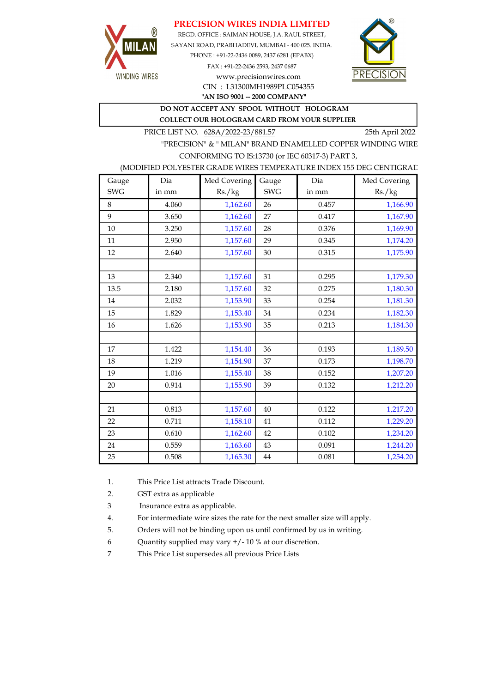# PRECISION WIRES INDIA LIMITED



REGD. OFFICE : SAIMAN HOUSE, J.A. RAUL STREET, SAYANI ROAD, PRABHADEVI, MUMBAI - 400 025. INDIA. PHONE : +91-22-2436 0089, 2437 6281 (EPABX) FAX : +91-22-2436 2593, 2437 0687 www.precisionwires.com



"AN ISO 9001 -- 2000 COMPANY" CIN : L31300MH1989PLC054355

DO NOT ACCEPT ANY SPOOL WITHOUT HOLOGRAM

COLLECT OUR HOLOGRAM CARD FROM YOUR SUPPLIER

PRICE LIST NO. 628A/2022-23/881.57 25th April 2022

"PRECISION" & " MILAN" BRAND ENAMELLED COPPER WINDING WIRE CONFORMING TO IS:13730 (or IEC 60317-3) PART 3,

### (MODIFIED POLYESTER GRADE WIRES TEMPERATURE INDEX 155 DEG CENTIGRAD

| Gauge      | Dia   | Med Covering | Gauge      | Dia   | Med Covering |
|------------|-------|--------------|------------|-------|--------------|
| <b>SWG</b> | in mm | Rs./kg       | <b>SWG</b> | in mm | Rs./kg       |
| 8          | 4.060 | 1,162.60     | 26         | 0.457 | 1,166.90     |
| 9          | 3.650 | 1,162.60     | 27         | 0.417 | 1,167.90     |
| 10         | 3.250 | 1,157.60     | 28         | 0.376 | 1,169.90     |
| 11         | 2.950 | 1,157.60     | 29         | 0.345 | 1,174.20     |
| 12         | 2.640 | 1,157.60     | 30         | 0.315 | 1,175.90     |
|            |       |              |            |       |              |
| 13         | 2.340 | 1,157.60     | 31         | 0.295 | 1,179.30     |
| 13.5       | 2.180 | 1,157.60     | 32         | 0.275 | 1,180.30     |
| 14         | 2.032 | 1,153.90     | 33         | 0.254 | 1,181.30     |
| 15         | 1.829 | 1,153.40     | 34         | 0.234 | 1,182.30     |
| 16         | 1.626 | 1,153.90     | 35         | 0.213 | 1,184.30     |
|            |       |              |            |       |              |
| 17         | 1.422 | 1,154.40     | 36         | 0.193 | 1,189.50     |
| 18         | 1.219 | 1,154.90     | 37         | 0.173 | 1,198.70     |
| 19         | 1.016 | 1,155.40     | 38         | 0.152 | 1,207.20     |
| 20         | 0.914 | 1,155.90     | 39         | 0.132 | 1,212.20     |
|            |       |              |            |       |              |
| 21         | 0.813 | 1,157.60     | 40         | 0.122 | 1,217.20     |
| 22         | 0.711 | 1,158.10     | 41         | 0.112 | 1,229.20     |
| 23         | 0.610 | 1,162.60     | 42         | 0.102 | 1,234.20     |
| 24         | 0.559 | 1,163.60     | 43         | 0.091 | 1,244.20     |
| 25         | 0.508 | 1,165.30     | 44         | 0.081 | 1,254.20     |

1. This Price List attracts Trade Discount.

2. GST extra as applicable

3 Insurance extra as applicable.

4. For intermediate wire sizes the rate for the next smaller size will apply.

5. Orders will not be binding upon us until confirmed by us in writing.

6 Quantity supplied may vary +/- 10 % at our discretion.

7 This Price List supersedes all previous Price Lists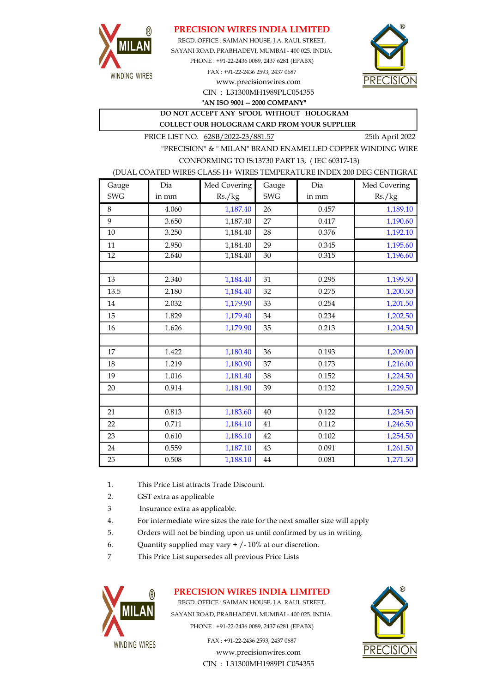

## PRECISION WIRES INDIA LIMITED

CIN : L31300MH1989PLC054355 SAYANI ROAD, PRABHADEVI, MUMBAI - 400 025. INDIA. PHONE : +91-22-2436 0089, 2437 6281 (EPABX) FAX : +91-22-2436 2593, 2437 0687 www.precisionwires.com REGD. OFFICE : SAIMAN HOUSE, J.A. RAUL STREET,



"AN ISO 9001 -- 2000 COMPANY"

DO NOT ACCEPT ANY SPOOL WITHOUT HOLOGRAM COLLECT OUR HOLOGRAM CARD FROM YOUR SUPPLIER

PRICE LIST NO. 628B/2022-23/881.57 25th April 2022

"PRECISION" & " MILAN" BRAND ENAMELLED COPPER WINDING WIRE CONFORMING TO IS:13730 PART 13, ( IEC 60317-13)

#### (DUAL COATED WIRES CLASS H+ WIRES TEMPERATURE INDEX 200 DEG CENTIGRAD

| Gauge           | Dia   | Med Covering | Gauge      | Dia   | Med Covering |
|-----------------|-------|--------------|------------|-------|--------------|
| <b>SWG</b>      | in mm | Rs./kg       | <b>SWG</b> | in mm | Rs./kg       |
| 8               | 4.060 | 1,187.40     | 26         | 0.457 | 1,189.10     |
| 9               | 3.650 | 1,187.40     | 27         | 0.417 | 1,190.60     |
| 10              | 3.250 | 1,184.40     | 28         | 0.376 | 1,192.10     |
| 11              | 2.950 | 1,184.40     | 29         | 0.345 | 1,195.60     |
| $\overline{12}$ | 2.640 | 1,184.40     | 30         | 0.315 | 1,196.60     |
|                 |       |              |            |       |              |
| 13              | 2.340 | 1,184.40     | 31         | 0.295 | 1,199.50     |
| 13.5            | 2.180 | 1,184.40     | 32         | 0.275 | 1,200.50     |
| 14              | 2.032 | 1,179.90     | 33         | 0.254 | 1,201.50     |
| 15              | 1.829 | 1,179.40     | 34         | 0.234 | 1,202.50     |
| 16              | 1.626 | 1,179.90     | 35         | 0.213 | 1,204.50     |
|                 |       |              |            |       |              |
| 17              | 1.422 | 1,180.40     | 36         | 0.193 | 1,209.00     |
| 18              | 1.219 | 1,180.90     | 37         | 0.173 | 1,216.00     |
| 19              | 1.016 | 1,181.40     | 38         | 0.152 | 1,224.50     |
| 20              | 0.914 | 1,181.90     | 39         | 0.132 | 1,229.50     |
|                 |       |              |            |       |              |
| 21              | 0.813 | 1,183.60     | 40         | 0.122 | 1,234.50     |
| 22              | 0.711 | 1,184.10     | 41         | 0.112 | 1,246.50     |
| 23              | 0.610 | 1,186.10     | 42         | 0.102 | 1,254.50     |
| 24              | 0.559 | 1,187.10     | 43         | 0.091 | 1,261.50     |
| 25              | 0.508 | 1,188.10     | $\bf 44$   | 0.081 | 1,271.50     |

- 1. This Price List attracts Trade Discount.
- 2. GST extra as applicable
- 3 Insurance extra as applicable.
- 4. For intermediate wire sizes the rate for the next smaller size will apply
- 5. Orders will not be binding upon us until confirmed by us in writing.
- 6. Quantity supplied may vary  $+/-10\%$  at our discretion.
- 7 This Price List supersedes all previous Price Lists



## PRECISION WIRES INDIA LIMITED

REGD. OFFICE : SAIMAN HOUSE, J.A. RAUL STREET, SAYANI ROAD, PRABHADEVI, MUMBAI - 400 025. INDIA. PHONE : +91-22-2436 0089, 2437 6281 (EPABX)

> FAX : +91-22-2436 2593, 2437 0687 www.precisionwires.com CIN : L31300MH1989PLC054355